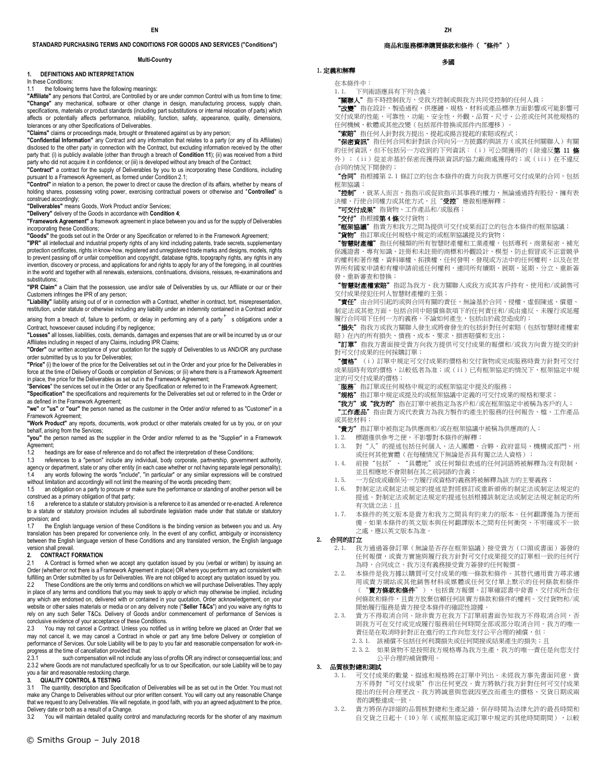#### **STANDARD PURCHASING TERMS AND CONDITIONS FOR GOODS AND SERVICES ("Conditions")**

#### **Multi-Country**

#### **1. DEFINITIONS AND INTERPRETATION**

In these Conditions:

1.1 the following terms have the following meanings: **"Affiliate"** any persons that Control, are Controlled by or are under common Control with us from time to time; **"Change"** any mechanical, software or other change in design, manufacturing process, supply chain, specifications, materials or product standards (including part substitutions or internal relocation of parts) which affects or potentially affects performance, reliability, function, safety, appearance, quality, dimensions, tolerances or any other Specifications of Deliverables.

**"Claims"** claims or proceedings made, brought or threatened against us by any person;

**"Confidential Information"** any Contract and any information that relates to a party (or any of its Affiliates) disclosed to the other party in connection with the Contract, but excluding information received by the other party that: (i) is publicly available (other than through a breach of **Condition 11**); (ii) was received from a third party who did not acquire it in confidence; or (iii) is developed without any breach of the Contract; **"Contract"** a contract for the supply of Deliverables by you to us incorporating these Conditions, including

pursuant to a Framework Agreement, as formed under Condition 2.1;

**"Control"** in relation to a person, the power to direct or cause the direction of its affairs, whether by means of holding shares, possessing voting power, exercising contractual powers or otherwise and "**Controlled**" is construed accordingly;

**"Deliverables"** means Goods, Work Product and/or Services;

**"Delivery"** delivery of the Goods in accordance with **Condition 4**;

**"Framework Agreement"** a framework agreement in place between you and us for the supply of Deliverables incorporating these Conditions;

**"Goods"** the goods set out in the Order or any Specification or referred to in the Framework Agreement;

**"IPR"** all intellectual and industrial property rights of any kind including patents, trade secrets, supplementary<br>protection certificates, rights in know-how, registered and unregistered trade marks and designs, models, to prevent passing off or unfair competition and copyright, database rights, topography rights, any rights in any invention, discovery or process, and applications for and rights to apply for any of the foregoing, in all countries in the world and together with all renewals, extensions, continuations, divisions, reissues, re-examinations and substitutions;

**"IPR Claim"** a Claim that the possession, use and/or sale of Deliverables by us, our Affiliate or our or their Customers infringes the IPR of any person;

**"Liability"** liability arising out of or in connection with a Contract, whether in contract, tort, misrepresentation, restitution, under statute or otherwise including any liability under an indemnity contained in a Contract and/or

arising from a breach of, failure to perform, or delay in performing any of a party' s obligations under a Contract, howsoever caused including if by negligence;

**"Losses"** all losses, liabilities, costs, demands, damages and expenses that are or will be incurred by us or our Affiliates including in respect of any Claims, including IPR Claims;

**"Order"** our written acceptance of your quotation for the supply of Deliverables to us AND/OR any purchase order submitted by us to you for Deliverables;

**"Price"** (i) the lower of the price for the Deliverables set out in the Order and your price for the Deliverables in force at the time of Delivery of Goods or completion of Services; or (ii) where there is a Framework Agreement in place, the price for the Deliverables as set out in the Framework Agreement;

"**Services**" the services set out in the Order or any Specification or referred to in the Framework Agreement; **"Specification"** the specifications and requirements for the Deliverables set out or referred to in the Order or as defined in the Framework Agreement;

**"we"** or **"us"** or **"our"** the person named as the customer in the Order and/or referred to as "Customer" in a Framework Agreement;

**"Work Product"** any reports, documents, work product or other materials created for us by you, or on your behalf, arising from the Services;

**"you"** the person named as the supplier in the Order and/or referred to as the "Supplier" in a Framework Agreement;

1.2 headings are for ease of reference and do not affect the interpretation of these Conditions;<br>1.3 references to a "person" include any individual, body corporate, partnership, governme

references to a "person" include any individual, body corporate, partnership, government authority, agency or department, state or any other entity (in each case whether or not having separate legal personality); any words following the words "include", "in particular" or any similar expressions will be construed without limitation and accordingly will not limit the meaning of the words preceding them;

1.5 an obligation on a party to procure or make sure the performance or standing of another person will be construed as a primary obligation of that party;<br>1.6 a reference to a statute or statutory prov

a reference to a statute or statutory provision is a reference to it as amended or re-enacted. A reference to a statute or statutory provision includes all subordinate legislation made under that statute or statutory provision; and

1.7 the English language version of these Conditions is the binding version as between you and us. Any translation has been prepared for convenience only. In the event of any conflict, ambiguity or inconsistency between the English language version of these Conditions and any translated version, the English language version shall prevail.<br>2. CONTRACT F

#### **2. CONTRACT FORMATION**

2.1 A Contract is formed when we accept any quotation issued by you (verbal or written) by issuing an Order (whether or not there is a Framework Agreement in place) OR where you perform any act consistent with fulfilling an Order submitted by us for Deliverables. We are not obliged to accept any quotation issued by you.<br>22 These Conditions are the only terms and conditions on which we will nurchase Deliverables. They apply These Conditions are the only terms and conditions on which we will purchase Deliverables. They apply in place of any terms and conditions that you may seek to apply or which may otherwise be implied, including any which are endorsed on, delivered with or contained in your quotation, Order acknowledgement, on your website or other sales materials or media or on any delivery note ("**Seller T&Cs**") and you waive any rights to rely on any such Seller T&Cs. Delivery of Goods and/or commencement of performance of Services is conclusive evidence of your acceptance of these Conditions.

2.3 You may not cancel a Contract. Unless you notified us in writing before we placed an Order that we may not cancel it, we may cancel a Contract in whole or part any time before Delivery or completion of performance of Services. Our sole Liability will be to pay to you fair and reasonable compensation for work-inprogress at the time of cancellation provided that:<br>2.3.1 such compensation will not include

such compensation will not include any loss of profits OR any indirect or consequential loss; and 2.3.2 where Goods are not manufactured specifically for us to our Specification, our sole Liability will be to pay you a fair and reasonable restocking charge.

#### **3. QUALITY CONTROL & TESTING**

3.1 The quantity, description and Specification of Deliverables will be as set out in the Order. You must not make any Change to Deliverables without our prior written consent. You will carry out any reasonable Change that we request to any Deliverables. We will negotiate, in good faith, with you an agreed adjustment to the price, Delivery date or both as a result of a Change.

You will maintain detailed quality control and manufacturing records for the shorter of any maximum

#### 商品和服務標準購買條款和條件( "條件")

## 多國

# 1.定義和解釋

在本條件中:

1.1. 下列術語應具有下列含義:

"關聯人"指不時控制我方、受我方控制或與我方共同受控制的任何人員;

"改變"指在設計、製造過程、供應鏈、規格、材料或產品標準方面影響或可能影響可 交付成果的性能、可靠性、功能、安全性、外觀、品質、尺寸、公差或任何其他規格的 任何機械、軟體或其他改變(包括部件替換或部件內部遷移)

"索賠"指任何人針對我方提出、提起或揚言提起的索賠或程式;

**"保密資訊"**指任何合同和針對該合同向另一方披露的與該方(或其任何關聯人)有關 的任何資訊,但不包括另一方收到的下列資訊: (i)可公開獲得的(除違反**第 11 條** 外);(ii)從並非基於保密而獲得該資訊的協力廠商處獲得的;或(iii)在不違反 合同的情況下開發的;

"合同" 指根據第 2.1 條訂立的包含本條件的貴方向我方供應可交付成果的合同,包括 框架協議;

**"控制"** ,就某人而言,指指示或促致指示其事務的權力,無論通過持有股份、擁有表 決權、行使合同權力或其他方式,且"**受控**"應做相應解釋;

"可交付成果"指貨物、工作產品和/或服務;

"交付"指根據第 4 條交付貨物;

"框架協議"指貴方和我方之間為提供可交付成果而訂立的包含本條件的框架協議;

"貨物"指訂單或任何規格中規定的或框架協議提及的貨物;

**智慧財產權"**指任何種類的所有智慧財產權和工業產權,包括專利、商業秘密、補充 保護證書、專有知識、註冊和未註冊的商標和外觀設計、模型、防止假冒或不正當競爭 的權利和著作權、資料庫權、拓撲權,任何發明、發現或方法中的任何權利,以及在世 界所有國家申請和有權申請前述任何權利,連同所有續期、展期、延期、分立、重新簽 發、重新審查和替換;

"智慧財產權索賠"指認為我方、我方關聯人或我方或其客戶持有、使用和/或銷售可 交付成果侵犯任何人智慧財產權的主張;

"責任"由合同引起的或與合同有關的責任,無論基於合同、侵權、虛假陳述、償還、 制定法或其他方面,包括合同中賠償條款項下的任何責任和/或由違反、未履行或延遲 履行合同項下任何一方的義務,不論如何產生,包括由於疏忽造成的;

"損失"指我方或我方關聯人發生或將會發生的包括針對任何索賠(包括智慧財產權索 賠)在內的所有損失、債務、成本、要求、損害賠償和支出;

"訂單"指我方書面接受貴方向我方提供可交付成果的報價和/或我方向貴方提交的針 對可交付成果的任何採購訂單;

"價格"(i)訂單中規定可交付成果的價格和交付貨物或完成服務時貴方針對可交付 成果屆時有效的價格,以較低者為准;或(ii)已有框架協定的情況下,框架協定中規 定的可交付成果的價格;

"服務"指訂單或任何規格中規定的或框架協定中提及的服務;

"規格" 指訂單中規定或提及的或框架協議中定義的可交付成果的規格和要求;

**"我方"或"我方的"**指在訂單中被指定為客戶和/或在框架協定中被稱為客戶的人; "工作產品"指由貴方或代表貴方為我方製作的產生於服務的任何報告、檔、工作產品 或其他材料;

"貴方"指訂單中被指定為供應商和/或在框架協議中被稱為供應商的人;

1.2. 標題僅供參考之便,不影響對本條件的解釋;

- 1.3. 對"人"的提述包括任何個人、法人團體、合夥、政府當局、機構或部門、州 。<br>或任何其他實體(在每種情況下無論是否具有獨立法人資格);
- 1.4. 前接"包括"、"具體地"或任何類似表述的任何詞語將被解釋為沒有限制, 並且相應地不會限制在其之前詞語的含義;
- 1.5. 一方促成或確保另一方履行或資格的義務將被解釋為該方的主要義務;
- 1.6. 對制定法或制定法規定的提述是對經修訂或重新頒佈的制定法或制定法規定的 提述。對制定法或制定法規定的提述包括根據該制定法或制定法規定制定的所 有次級立法;且
- 1.7. 本條件的英文版本是貴方和我方之間具有約束力的版本。任何翻譯僅為方便而 備。如果本條件的英文版本與任何翻譯版本之間有任何衝突、不明確或不一致 之處,應以英文版本為准。

#### 2. 合同的訂立

- 2.1. 我方通過簽發訂單(無論是否存在框架協議)接受貴方(口頭或書面)簽發的 任何報價,或貴方實施與履行我方針對可交付成果提交的訂單相一致的任何行 為時,合同成立。我方沒有義務接受貴方簽發的任何報價。
- 2.2. 本條件是我方據以購買可交付成果的唯一條款和條件。其替代適用貴方尋求適 用或貴方網站或其他銷售材料或媒體或任何交付單上默示的任何條款和條件 ("賣方條款和條件"),包括貴方報價、訂單確認書中背書、交付或所含任 何條款和條件,且貴方放棄信賴任何該賣方條款和條件的權利。交付貨物和/或 開始履行服務是貴方接受本條件的確認性證據。
- 2.3. 貴方不得取消合同。除非貴方在我方下訂單前書面告知我方不得取消合同,否 則我方可在交付或完成履行服務前任何時間全部或部分取消合同。我方的唯一 責任是在取消時針對正在進行的工作向您支付公平合理的補償,但:
	- 2.3.1. 該補償不包括任何利潤損失或任何間接或結果產生的損失;且
	- 2.3.2. 如果貨物不是按照我方規格專為我方生產,我方的唯一責任是向您支付 公平合理的補貨費用。

#### 3. 品質核對總和測試

- 3.1. 可交付成果的數量、描述和規格將在訂單中列出。未經我方事先書面同意,貴 方不得對"可交付成果"作出任何更改。貴方將執行我方針對任何可交付成果 提出的任何合理更改。我方將誠意與您就因更改而產生的價格、交貨日期或兩 者的調整達成一致。
- 3.2. 貴方將保存詳細的品質核對總和生產記錄,保存時間為法律允許的最長時間和 自交貨之日起十(10)年(或框架協定或訂單中規定的其他時間期間),以較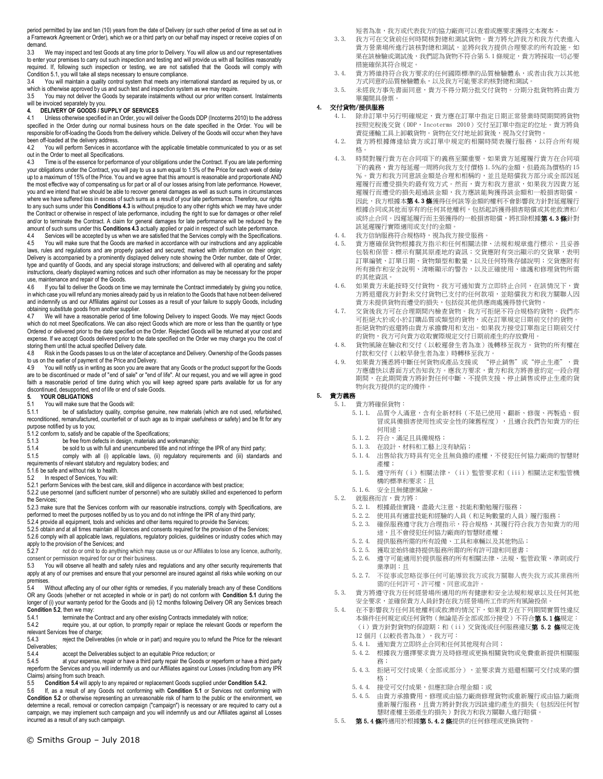period permitted by law and ten (10) years from the date of Delivery (or such other period of time as set out in a Framework Agreement or Order), which we or a third party on our behalf may inspect or receive copies of on demand.<br> $3.3 \times 1$ 

We may inspect and test Goods at any time prior to Delivery. You will allow us and our representatives to enter your premises to carry out such inspection and testing and will provide us with all facilities reasonably required. If, following such inspection or testing, we are not satisfied that the Goods will comply with Condition 5.1, you will take all steps necessary to ensure compliance.

3.4 You will maintain a quality control system that meets any international standard as required by us, or which is otherwise approved by us and such test and inspection system as we may require.<br>3.5 You may not deliver the Goods by separate instalments without our prior written co

3.5 You may not deliver the Goods by separate instalments without our prior written consent. Instalments will be invoiced separately by you.

#### **4. DELIVERY OF GOODS / SUPPLY OF SERVICES**

4.1 Unless otherwise specified in an Order, you will deliver the Goods DDP (Incoterms 2010) to the address specified in the Order during our normal business hours on the date specified in the Order. You will be responsible for off-loading the Goods from the delivery vehicle. Delivery of the Goods will occur when they have been off-loaded at the delivery address.

4.2 You will perform Services in accordance with the applicable timetable communicated to you or as set out in the Order to meet all Specifications.

4.3 Time is of the essence for performance of your obligations under the Contract. If you are late performing your obligations under the Contract, you will pay to us a sum equal to 1.5% of the Price for each week of delay up to a maximum of 15% of the Price. You and we agree that this amount is reasonable and proportionate AND the most effective way of compensating us for part or all of our losses arising from late performance. However, you and we intend that we should be able to recover general damages as well as such sums in circumstances where we have suffered loss in excess of such sums as a result of your late performance. Therefore, our rights to any such sums under this **Conditions 4.3** is without prejudice to any other rights which we may have under the Contract or otherwise in respect of late performance, including the right to sue for damages or other relief and/or to terminate the Contract. A claim for general damages for late performance will be reduced by the amount of such sums under this **Conditions 4.3** actually applied or paid in respect of such late performance.

Services will be accepted by us when we are satisfied that the Services comply with the Specifications. 4.5 You will make sure that the Goods are marked in accordance with our instructions and any applicable laws, rules and regulations and are properly packed and secured; marked with information on their origin; Delivery is accompanied by a prominently displayed delivery note showing the Order number, date of Order, type and quantity of Goods, and any special storage instructions; and delivered with all operating and safety instructions, clearly displayed warning notices and such other information as may be necessary for the proper use, maintenance and repair of the Goods.

4.6 If you fail to deliver the Goods on time we may terminate the Contract immediately by giving you notice, in which case you will refund any monies already paid by us in relation to the Goods that have not been delivered and indemnify us and our Affiliates against our Losses as a result of your failure to supply Goods, including obtaining substitute goods from another supplier.

4.7 We will have a reasonable period of time following Delivery to inspect Goods. We may reject Goods which do not meet Specifications. We can also reject Goods which are more or less than the quantity or type Ordered or delivered prior to the date specified on the Order. Rejected Goods will be returned at your cost and expense. If we accept Goods delivered prior to the date specified on the Order we may charge you the cost of storing them until the actual specified Delivery date.<br>4.8 Risk in the Goods passes to us on the later of

Risk in the Goods passes to us on the later of acceptance and Delivery. Ownership of the Goods passes to us on the earlier of payment of the Price and Delivery.

4.9 You will notify us in writing as soon you are aware that any Goods or the product support for the Goods are to be discontinued or made of "end of sale" or "end of life". At our request, you and we will agree in good faith a reasonable period of time during which you will keep agreed spare parts available for us for any discontinued, desupported, end of life or end of sale Goods.

# **5. YOUR OBLIGATIONS**<br>5.1 You will make sure the

#### 5.1 You will make sure that the Goods will:

5.1.1 be of satisfactory quality, comprise genuine, new materials (which are not used, refurbished, reconditioned, remanufactured, counterfeit or of such age as to impair usefulness or safety) and be fit for any purpose notified by us to you;

5.1.2 conform to, satisfy and be capable of the Specifications;

- 5.1.3 be free from defects in design, materials and workmanship;<br>5.1.4 be sold to us with full and unencumbered title and not infrinc
- be sold to us with full and unencumbered title and not infringe the IPR of any third party;
- 5.1.5 comply with all (i) applicable laws, (ii) regulatory requirements and (iii) standards and requirements of relevant statutory and regulatory bodies; and
- 5.1.6 be safe and without risk to health.<br>5.2 In respect of Services, You will:
- In respect of Services, You will:

5.2.1 perform Services with the best care, skill and diligence in accordance with best practice; 5.2.2 use personnel (and sufficient number of personnel) who are suitably skilled and experienced to perform the Services;

5.2.3 make sure that the Services conform with our reasonable instructions, comply with Specifications, are performed to meet the purposes notified by us to you and do not infringe the IPR of any third party;

5.2.4 provide all equipment, tools and vehicles and other items required to provide the Services;

5.2.5 obtain and at all times maintain all licences and consents required for the provision of the Services;

5.2.6 comply with all applicable laws, regulations, regulatory policies, guidelines or industry codes which may apply to the provision of the Services; and<br> $5.2.7$  not do or omit to do anything

5.2.7 not do or omit to do anything which may cause us or our Affiliates to lose any licence, authority, consent or permission required for our or their business.<br>5.3 You will observe all health and safety rules and

You will observe all health and safety rules and regulations and any other security requirements that apply at any of our premises and ensure that your personnel are insured against all risks while working on our premises.

5.4 Without affecting any of our other rights or remedies, if you materially breach any of these Conditions OR any Goods (whether or not accepted in whole or in part) do not conform with **Condition 5.1** during the longer of (i) your warranty period for the Goods and (ii) 12 months following Delivery OR any Services breach **Condition 5.2**, then we may:

5.4.1 terminate the Contract and any other existing Contracts immediately with notice;

5.4.2 require you, at our option, to promptly repair or replace the relevant Goods or reperform the relevant Services free of charge;<br>5.4.3 reject the Delivera

reject the Deliverables (in whole or in part) and require you to refund the Price for the relevant Deliverables;<br>5.4.4

5.4.4 accept the Deliverables subject to an equitable Price reduction; or<br>5.4.5 at your expense repair or have a third party repair the Goods or re

at your expense, repair or have a third party repair the Goods or reperform or have a third party reperform the Services and you will indemnify us and our Affiliates against our Losses (including from any IPR Claims) arising from such breach.<br>5.5 **Condition 5.4** will apply to

5.5 **Condition 5.4** will apply to any repaired or replacement Goods supplied under **Condition 5.4.2.**

5.6 If, as a result of any Goods not conforming with **Condition 5.1** or Services not conforming with **Condition 5.2** or otherwise representing an unreasonable risk of harm to the public or the environment, we determine a recall, removal or correction campaign ("campaign") is necessary or are required to carry out a campaign, we may implement such campaign and you will indemnify us and our Affiliates against all Losses incurred as a result of any such campaign.

短者為准,我方或代表我方的協力廠商可以查看或應要求獲得文本複本。

- 3.3. 我方可在交貨前任何時間核對總和測試貨物。貴方將允許我方和我方代表進入 貴方營業場所進行該核對總和測試,並將向我方提供合理要求的所有設施。如 果在該檢驗或測試後,我們認為貨物不符合第 5.1 條規定,貴方將採取一切必要 措施確保其符合規定。
- 3.4. 貴方將維持符合我方要求的任何國際標準的品質檢驗體系,或者由我方以其他 方式同意的品質檢驗體系,以及我方可能要求的核對總和測試。
- 3.5. 未經我方事先書面同意,貴方不得分期分批交付貨物。分期分批貨物將由貴方 單獨開具發票。

#### 4. 交付貨物/提供服務

- 4.1. 除非訂單中另行明確規定,貴方應在訂單中指定日期正常營業時間期間將貨物 按照完稅後交貨(DDP,Incoterms 2010)交付至訂單中指定的位址。貴方將負 責從運輸工具上卸載貨物。貨物在交付地址卸貨後,視為交付貨物。
- 4.2. 貴方將根據傳達給貴方或訂單中規定的相關時間表履行服務,以符合所有規 格。
- 4.3. 時間對履行貴方在合同項下的義務至關重要。如果貴方延遲履行貴方在合同項 下的義務,貴方每延遲一周將向我方支付價格 1.5%的金額,但最高為價格的 15 %。貴方和我方同意該金額是合理和相稱的,並且是賠償我方部分或全部因延 遲履行而遭受損失的最有效方式。然而,貴方和我方意欲,如果我方因貴方延 遲履行而遭受的損失超過該金額,我方應該能夠獲得該金額和一般損害賠償。 因此,我方根據本第 4.3條獲得任何該等金額的權利不會影響我方針對延遲履行 根據合同或其他而享有的任何其他權利,包括起訴獲得損害賠償或其他救濟和/ 或終止合同。因遲延履行而主張獲得的一般損害賠償,將扣除根據**第 4.3 條**針對 該延遲履行實際適用或支付的金額。
- 4.4. 我方信納服務符合規格時,視為我方接受服務。
- 4.5. 貴方應確保貨物根據我方指示和任何相關法律、法規和規章進行標示,且妥善 包裝和保管;標示有關其原產地的資訊;交貨應附有突出顯示的交貨單,表明 訂單編號、訂單日期、貨物類型和數量,以及任何特殊存儲說明;交貨應附有 所有操作和安全說明、清晰顯示的警告,以及正確使用、維護和修理貨物所需 的其他資訊。
- 4.6. 如果貴方未能按時交付貨物,我方可通知貴方立即終止合同,在該情況下,貴 方將退還我方針對未交付貨物已支付的任何款項,並賠償我方和我方關聯人因 貴方未提供貨物而遭受的損失,包括從其他供應商處獲得替代貨物。
- 4.7. 交貨後我方可在合理期間內檢查貨物。我方可拒絕不符合規格的貨物。我們亦 。<br>可拒絕大於或小於訂購品質或類型的貨物,或在訂單規定日期前交付的貨物。 拒絕貨物的返還將由貴方承擔費用和支出。如果我方接受訂單指定日期前交付 的貨物,我方可向貴方收取實際規定交付日期前產生的存放費用。
- 4.8. 貨物風險在驗收和交付(以較遲發生者為准)後轉移至我方。貨物的所有權在 付款和交付(以較早發生者為准)時轉移至我方。
- 4.9. 如果貴方獲悉將中斷任何貨物或產品支援或 "停止銷售"或"停止生產",貴 方應儘快以書面方式告知我方。應我方要求,貴方和我方將善意約定一段合理 期間,在此期間貴方將針對任何中斷、不提供支援、停止銷售或停止生產的貨 物向我方提供約定的備件。

# 5. 貴方義務

- 5.1. 貴方將確保貨物:
	- 5.1.1. 品質令人滿意,含有全新材料(不是已使用、翻新、修復、再製造、假 冒或具備損害使用性或安全性的陳舊程度),且適合我們告知貴方的任 何用途;
	- 5.1.2. 符合、滿足且具備規格;
	- 5.1.3. 在設計、材料和工藝上沒有缺陷;
	- 5.1.4. 出售給我方時具有完全且無負擔的產權,不侵犯任何協力廠商的智慧財 產權;
	- 5.1.5. 遵守所有(i)相關法律,(ii)監管要求和(iii)相關法定和監管機 構的標準和要求;且
	- 5.1.6. 安全且無健康風險。
	- 5.2. 就服務而言,貴方將:
		- 5.2.1. 根據最佳實踐,盡最大注意、技能和勤勉履行服務;
		- 5.2.2. 使用具有適當技能和經驗的人員(和足夠數量的人員)履行服務;
		- 5.2.3. 確保服務遵守我方合理指示,符合規格,其履行符合我方告知貴方的用 途,且不會侵犯任何協力廠商的智慧財產權;
		- 5.2.4. 提供服務所需的所有設備、工具和車輛以及其他物品;
		- 5.2.5. 獲取並始終維持提供服務所需的所有許可證和同意書;
		- 5.2.6. 遵守可能適用於提供服務的所有相關法律、法規、監管政策、準則或行
		- ;= ; ; ; ;;;;;<br>業準則;日
		- 5.2.7. 不從事或忽略從事任何可能導致我方或我方關聯人喪失我方或其業務所 需的任何許可、許可權、同意或准許。
	- 5.3. 貴方將遵守我方任何經營場所適用的所有健康和安全法規和規章以及任何其他 安全要求,並確保貴方人員針對在我方經營場所工作的所有風險投保。
	- 5.4. 在不影響我方任何其他權利或救濟的情況下,如果貴方在下列期間實質性違反 本條件任何規定或任何貨物(無論是否全部或部分接受)不符合**第 5.1 條**規定: (i) 貴方針對貨物的保證期;和(ii)交貨後或任何服務違反**第 5.2 條**規定後 12 個月(以較長者為准),我方可:
		- 5.4.1. 通知貴方立即終止合同和任何其他現有合同;
		- 5.4.2. 根據我方選擇要求貴方及時修理或更換相關貨物或免費重新提供相關服 務;
		- 5.4.3. 拒絕可交付成果(全部或部分),並要求貴方退還相關可交付成果的價 格;
		- 5.4.4. 接受可交付成果,但應扣除合理金額;或
		- 5.4.5. 由貴方承擔費用,修理或由協力廠商修理貨物或重新履行或由協力廠商 重新履行服務,且貴方將針對我方因該違約產生的損失(包括因任何智 慧財產權主張產生的損失)對我方和我方關聯人進行賠償。
	- 5.5. 第5.4條將適用於根據第5.4.2條提供的任何修理或更換貨物。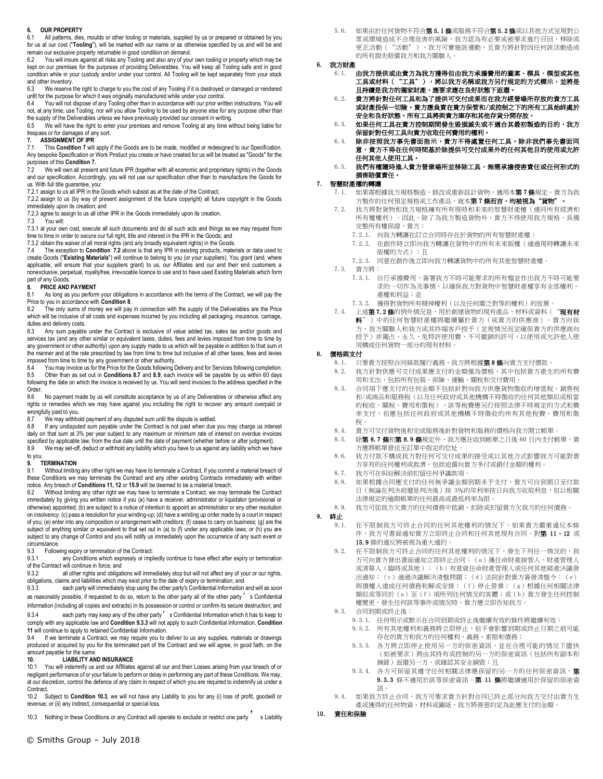#### **6. OUR PROPERTY**

6.1 All patterns, dies, moulds or other tooling or materials, supplied by us or prepared or obtained by you for us at our cost ("**Tooling**"), will be marked with our name or as otherwise specified by us and will be and remain our exclusive property returnable in good condition on demand.

You will insure against all risks any Tooling and also any of your own tooling or property which may be kept on our premises for the purposes of providing Deliverables. You will keep all Tooling safe and in good condition while in your custody and/or under your control. All Tooling will be kept separately from your stock and other inventory.

6.3 We reserve the right to charge to you the cost of any Tooling if it is destroyed or damaged or rendered unfit for the purpose for which it was originally manufactured while under your control.

6.4 You will not dispose of any Tooling other than in accordance with our prior written instructions. You will not, at any time, use Tooling, nor will you allow Tooling to be used by anyone else for any purpose other than the supply of the Deliverables unless we have previously provided our consent in writing.

6.5 We will have the right to enter your premises and remove Tooling at any time without being liable for trespass or for damages of any sort.<br> **7.** ASSIGNMENT OF IPR

#### **7. ASSIGNMENT OF IPR**

7.1 This **Condition 7** will apply if the Goods are to be made, modified or redesigned to our Specification. Any bespoke Specification or Work Product you create or have created for us will be treated as "Goods" for the purposes of this **Condition 7.**

7.2 We will own all present and future IPR (together with all economic and proprietary rights) in the Goods and our specification. Accordingly, you will not use our specification other than to manufacture the Goods for us. With full title guarantee, you:

7.2.1 assign to us all IPR in the Goods which subsist as at the date of the Contract;

7.2.2 assign to us (by way of present assignment of the future copyright) all future copyright in the Goods immediately upon its creation; and

7.2.3 agree to assign to us all other IPR in the Goods immediately upon its creation.<br>7.3 You will:

You will:

7.3.1 at your own cost, execute all such documents and do all such acts and things as we may request from time to time in order to secure our full right, title and interest in the IPR in the Goods; and

7.3.2 obtain the waiver of all moral rights (and any broadly equivalent rights) in the Goods. 7.4 The exception to **Condition 7.2** above is that any IPR in existing products, materials or data used to

create Goods ("**Existing Materials**") will continue to belong to you (or your suppliers). You grant (and, where applicable, will ensure that your suppliers grant) to us, our Affiliates and our and their end customers a nonexclusive, perpetual, royaltyfree, irrevocable licence to use and to have used Existing Materials which form part of any Goods.

#### **8. PRICE AND PAYMENT**

8.1 As long as you perform your obligations in accordance with the terms of the Contract, we will pay the Price to you in accordance with **Condition 8**.

The only sums of money we will pay in connection with the supply of the Deliverables are the Price which will be inclusive of all costs and expenses incurred by you including all packaging, insurance, carriage, duties and delivery costs.

8.3 Any sum payable under the Contract is exclusive of value added tax, sales tax and/or goods and services tax (and any other similar or equivalent taxes, duties, fees and levies imposed from time to time by any government or other authority) upon any supply made to us which will be payable in addition to that sum in the manner and at the rate prescribed by law from time to time but inclusive of all other taxes, fees and levies imposed from time to time by any government or other authority.<br>8.4 You may invoice us for the Price for the Goods following I

You may invoice us for the Price for the Goods following Delivery and for Services following completion. 8.5 Other than as set out in Conditions 8.7 and 8.9, each invoice will be payable by us within 60 days<br>following the date on which the invoice is received by us. You will send invoices to the address specified in the Order.

8.6 No payment made by us will constitute acceptance by us of any Deliverables or otherwise affect any rights or remedies which we may have against you including the right to recover any amount overpaid or wrongfully paid to you.<br>8.7 We may withho

8.7 We may withhold payment of any disputed sum until the dispute is settled.<br>8.8 If any undisputed sum payable under the Contract is not paid when due

8.8 If any undisputed sum payable under the Contract is not paid when due you may charge us interest daily on that sum at 3% per year subject to any maximum or minimum rate of interest on overdue invoices specified by applicable law, from the due date until the date of payment (whether before or after judgment).

8.9 We may set-off, deduct or withhold any liability which you have to us against any liability which we have to you.

# **9. TERMINATION**

Without limiting any other right we may have to terminate a Contract, if you commit a material breach of these Conditions we may terminate the Contract and any other existing Contracts immediately with written notice. Any breach of **Conditions 11, 12** or **15.9** will be deemed to be a material breach.

9.2 Without limiting any other right we may have to terminate a Contract, we may terminate the Contract immediately by giving you written notice if you (a) have a receiver, administrator or liquidator (provisional or otherwise) appointed; (b) are subject to a notice of intention to appoint an administrator or any other resolution on insolvency; (c) pass a resolution for your winding-up; (d) have a winding up order made by a court in respect of you; (e) enter into any composition or arrangement with creditors; (f) cease to carry on business; (g) are the subject of anything similar or equivalent to that set out in (a) to (f) under any applicable laws; or (h) you are subject to any change of Control and you will notify us immediately upon the occurrence of any such event or circumstance.<br>9.3 Follow

9.3 Following expiry or termination of the Contract:<br>9.3.1 any Conditions which expressly or impli

any Conditions which expressly or impliedly continue to have effect after expiry or termination of the Contract will continue in force; and<br>9.3.2 all other rights and obligat

all other rights and obligations will immediately stop but will not affect any of your or our rights, obligations, claims and liabilities which may exist prior to the date of expiry or termination; and

9.3.3 each party will immediately stop using the other party's Confidential Information and will as soon as reasonably possible, if requested to do so, return to the other party all of the other party' s Confidential Information (including all copies and extracts) in its possession or control or confirm its secure destruction; and

9.3.4 each party may keep any of the other party' s Confidential Information which it has to keep to comply with any applicable law and **Condition 9.3.3** will not apply to such Confidential Information. **Condition** 

**11** will continue to apply to retained Confidential Information.<br>9.4 If we terminate a Contract we may require you to c 9.4 If we terminate a Contract, we may require you to deliver to us any supplies, materials or drawings produced or acquired by you for the terminated part of the Contract and we will agree, in good faith, on the amount payable for the same.

#### **10. LIABILITY AND INSURANCE**

10.1 You will indemnify us and our Affiliates against all our and their Losses arising from your breach of or negligent performance of or your failure to perform or delay in performing any part of these Conditions. We may, at our discretion, control the defence of any claim in respect of which you are required to indemnify us under a Contract.<br>10.2 S

10.2 Subject to **Condition 10.3**, we will not have any Liability to you for any (i) loss of profit, goodwill or revenue; or (ii) any indirect, consequential or special loss.

10.3 Nothing in these Conditions or any Contract will operate to exclude or restrict one party s Liability

5.6. 如果由於任何貨物不符合**第5.1條**或服務不符合**第5.2條**或以其他方式呈現對公 眾或環境造成不合理危害的風險,我方認為有必要或被要求進行召回、移除或 更正活動("活動"),我方可實施該運動,且貴方將針對因任何該活動造成 的所有損失賠償我方和我方關聯人。

#### 6. 我方財產

- 6.1. 由我方提供或由貴方為我方獲得但由我方承擔費用的圖案、模具、模型或其他 工具或材料("工具"),將以我方名稱或我方另行規定的方式標示,並將是 且持續是我方的獨家財產,應要求應在良好狀態下返還。
- 6.2. 貴方將針對任何工具和為了提供可交付成果而在我方經營場所存放的貴方工具 或財產投保一切險。貴方應負責在貴方保管和/或控制之下的所有工具始終處於 安全和良好狀態。所有工具將與貴方庫存和其他存貨分開存放。
- 6.3. 如果任何工具在貴方控制期間發生毀損滅失或不適合其最初製造的目的,我方 保留針對任何工具向貴方收取任何費用的權利。
- 6.4. 除非按照我方事先書面指示,貴方不得處置任何工具。除非我們事先書面同 意,貴方不得在任何時間基於除提供可交付成果外的任何其他目的使用或允許 任何其他人使用工具。
- 6.5. 我們有權隨時進入貴方營業場所並移除工具,無需承擔侵害責任或任何形式的 損害賠償責任。

#### 7. 智慧財產權的轉讓

- 如果需根據我方規格製造、修改或重新設計貨物,適用本第7條規定。貴方為我 方製作的任何預定規格或工作產品,就本第 7 條而言,均被視為"貨物"。
- 7.2. 我方將對貨物和我方規格擁有所有現時和未來的智慧財產權(連同所有經濟和 所有權權利)。因此,除了為我方製造貨物外,貴方不得使用我方規格。具備 完整所有權保證,貴方:
	- 7.2.1. 向我方轉讓在訂立合同時存在於貨物的所有智慧財產權;
	- 7.2.2. 在創作時立即向我方轉讓在貨物中的所有未來版權(通過現時轉讓未來 版權的方式);且
	- 7.2.3. 同意在創作後立即向我方轉讓貨物中的所有其他智慧財產權。
- 7.3. 貴方將:
	- 7.3.1. 自行承擔費用,簽署我方不時可能要求的所有檔並作出我方不時可能要 求的一切作為及事情,以確保我方對貨物中智慧財產權享有全部權利、 產權和利益;並
	- 7.3.2. 獲得對貨物所有精神權利(以及任何廣泛對等的權利)的放棄。
- 7.4. 上述第7.2條的例外情況是,用於創建貨物的現有產品、材料或資料("現有材 料")中的任何智慧財產權將繼續屬於貴方(或貴方的供應商)。貴方向我 方、我方關聯人和我方或其終端客戶授予(並視情況而定確保貴方的供應商向 授予)非獨占、永久、免特許使用費、不可撤銷的許可,以使用或允許他人使 用構成任何貨物一部分的現有材料。

#### 8. 價格與支付

- 8.1. 只要貴方按照合同條款履行義務,我方將根據第8條向貴方支付價款。
- 8.2. 我方針對供應可交付成果應支付的金額僅為價格,其中包括貴方產生的所有費 用和支出,包括所有包裝、保險、運輸、關稅和交付費用。
- 8.3. 合同項下應支付的任何金額不包括針對向我方供應貨物徵收的增值稅、銷售稅 和/或商品和服務稅(以及任何政府或其他機構不時徵收的任何其他類似或相當 的稅收、關稅、費用和徵稅),該等稅費應另行按照法律不時規定的方式和費 率支付,但應包括任何政府或其他機構不時徵收的所有其他稅費、費用和徵 稅。
- 8.4. 貴方可交付貨物後和完成服務後針對貨物和服務的價格向我方開立帳單。
- 8.5. 除第8.7條和第8.9條規定外,我方應在收到帳單之日後 60 日内支付帳單。貴 方應將帳單發送至訂單中指定的位址。
- 8.6. 我方付款不構成我方對任何可交付成果的接受或以其他方式影響我方可能對貴 方享有的任何權利或救濟,包括追償向貴方多付或錯付金額的權利。
- 8.7. 我方可在糾紛解決前扣留任何爭議款項。
- 8.8. 如果根據合同應支付的任何無爭議金額到期未予支付,貴方可自到期日至付款 日(無論在判決前還是判決後)按 3%的年利率按日向我方收取利息,但以相關 法律規定的逾期帳單的任何最高或最低利率為限。
- 8.9. 我方可從我方欠貴方的任何債務中抵銷、扣除或扣留貴方欠我方的任何債務。

9. 終止

- 9.1. 在不限制我方可終止合同的任何其他權利的情況下,如果貴方嚴重違反本條 件,我方可書面通知貴方立即終止合同和任何其他現有合同。對第 11、12 或 15.9 條的違反將被視為重大違約。
- 9.2. 在不限制我方可終止合同的任何其他權利的情況下,發生下列任一情況的,我 方可向貴方發出書面通知立即終止合同:(a)獲任命財產接管人、財產管理人 或清算人(臨時或其他);(b)有意就任命財產管理人或任何其他破產決議發 出通知;(c)通過決議解決清盤問題;(d)法院針對貴方簽發清盤令;(e) 與債權人達成任何債務和解或安排;(f)停止營業;(g)根據任何相關法律 類似或等同於(a)至(f)項所列任何情況的客體;或(h)貴方發生任何控制 權變更,發生任何該等事件或情況時,貴方應立即告知我方。
- 9.3. 合同到期或終止後:
	- 9.3.1. 任何明示或默示在合同到期或終止後繼續有效的條件將繼續有效;
	- 9.3.2. 所有其他權利和義務將立即停止,但不會影響到期或終止日期之前可能 存在的貴方和我方的任何權利、義務、索賠和債務;
	- 9.3.3. 各方將立即停止使用另一方的保密資訊,並在合理可能的情況下儘快 (如被要求)將由其持有或控制的另一方的保密資訊(包括所有副本和 摘錄)返還另一方,或確認其安全銷毀;且
	- 9.3.4. 各方可保留其遵守任何相關法律應保留的另一方的任何保密資訊,第 9.3.3 條不適用於該等保密資訊。第 11 條將繼續適用於保留的保密資 訊。
- 9.4. 如果我方終止合同,我方可要求貴方針對合同已終止部分向我方交付由貴方生 產或獲得的任何物資、材料或圖紙,我方將善意約定為此應支付的金額。
- 10. 責任和保險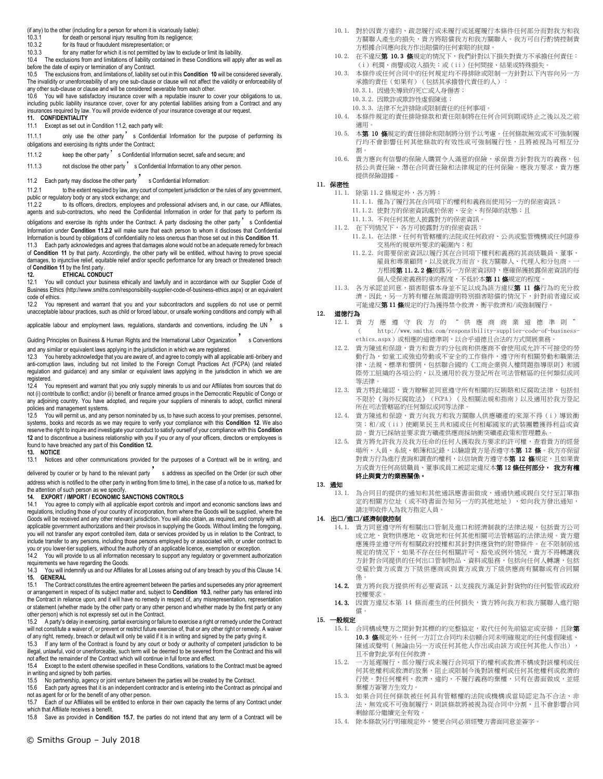(if any) to the other (including for a person for whom it is vicariously liable):

- 10.3.1 for death or personal injury resulting from its negligence;<br>10.3.2 for its fraud or fraudulent misrepresentation: or
- 10.3.2 for its fraud or fraudulent misrepresentation; or<br>10.3.3 for any matter for which it is not permitted by law
- for any matter for which it is not permitted by law to exclude or limit its liability.

10.4 The exclusions from and limitations of liability contained in these Conditions will apply after as well as before the date of expiry or termination of any Contract.

10.5 The exclusions from, and limitations of, liability set out in this **Condition 10** will be considered severally. The invalidity or unenforceability of any one sub-clause or clause will not affect the validity or enforceability of any other sub-clause or clause and will be considered severable from each other.<br>10.6 You will baye satisfactory insurance cover with a reputable insurer to co

10.6 You will have satisfactory insurance cover with a reputable insurer to cover your obligations to us, including public liability insurance cover, cover for any potential liabilities arising from a Contract and any insurances required by law. You will provide evidence of your insurance coverage at our request. **11. CONFIDENTIALITY**

11.1 Except as set out in Condition 11.2, each party will:

11.1.1 only use the other party's Confidential Information for the purpose of performing its obligations and exercising its rights under the Contract;

11.1.2 keep the other party's Confidential Information secret, safe and secure; and

11.1.3 not disclose the other party's Confidential Information to any other person.

11.2 Each party may disclose the other party sconfidential Information:

11.2.1 to the extent required by law, any court of competent jurisdiction or the rules of any government, public or regulatory body or any stock exchange; and<br>11.2.2 to its officers, directors, employees an

to its officers, directors, employees and professional advisers and, in our case, our Affiliates, agents and sub-contractors, who need the Confidential Information in order for that party to perform its obligations and exercise its rights under the Contract. A party disclosing the other party' s Confidential Information under **Condition 11.2.2** will make sure that each person to whom it discloses that Confidential Information is bound by obligations of confidentiality no less onerous than those set out in this **Condition 11**.

11.3 Each party acknowledges and agrees that damages alone would not be an adequate remedy for breach of **Condition 11** by that party. Accordingly, the other party will be entitled, without having to prove special damages, to injunctive relief, equitable relief and/or specific performance for any breach or threatened breach of **Condition 11** by the first party.<br>12. **ETHICAL CONDU** 

**12. ETHICAL CONDUCT**

12.1 You will conduct your business ethically and lawfully and in accordance with our Supplier Code of Business Ethics (http://www.smiths.com/responsibility-supplier-code-of-business-ethics.aspx) or an equivalent code of ethics.

12.2 You represent and warrant that you and your subcontractors and suppliers do not use or permit unacceptable labour practices, such as child or forced labour, or unsafe working conditions and comply with all

applicable labour and employment laws, regulations, standards and conventions, including the UN<sup>7</sup> s

Guiding Principles on Business & Human Rights and the International Labor Organization s Conventions and any similar or equivalent laws applying in the jurisdiction in which we are registered.

12.3 You hereby acknowledge that you are aware of, and agree to comply with all applicable anti-bribery and anti-corruption laws, including but not limited to the Foreign Corrupt Practices Act (FCPA) (and related regulation and guidance) and any similar or equivalent laws applying in the jurisdiction in which we are registered.

12.4 You represent and warrant that you only supply minerals to us and our Affiliates from sources that do not (i) contribute to conflict; and/or (ii) benefit or finance armed groups in the Democratic Republic of Congo or any adjoining country. You have adopted, and require your suppliers of minerals to adopt, conflict mineral policies and management systems.

12.5 You will permit us, and any person nominated by us, to have such access to your premises, personnel, systems, books and records as we may require to verify your compliance with this **Condition 12**. We also reserve the right to inquire and investigate your conduct to satisfy ourself of your compliance with this **Condition 12** and to discontinue a business relationship with you if you or any of your officers, directors or employees is found to have breached any part of this **Condition 12.** 

#### **13. NOTICE**

13.1 Notices and other communications provided for the purposes of a Contract will be in writing, and

delivered by courier or by hand to the relevant party's address as specified on the Order (or such other address which is notified to the other party in writing from time to time), in the case of a notice to us, marked for

# the attention of such person as we specify. **14. EXPORT / IMPORT / ECONOMIC SANCTIONS CONTROLS**

14.1 You agree to comply with all applicable export controls and import and economic sanctions laws and regulations, including those of your country of incorporation, from where the Goods will be supplied, where the Goods will be received and any other relevant jurisdiction. You will also obtain, as required, and comply with all applicable government authorizations and their provisos in supplying the Goods. Without limiting the foregoing, you will not transfer any export controlled item, data or services provided by us in relation to the Contract, to include transfer to any persons, including those persons employed by or associated with, or under contract to you or you lower-tier suppliers, without the authority of an applicable licence, exemption or exception.

14.2 You will provide to us all information necessary to support any regulatory or government authorization requirements we have regarding the Goods.

14.3 You will indemnify us and our Affiliates for all Losses arising out of any breach by you of this Clause 14. **15. GENERAL**

15.1 The Contract constitutes the entire agreement between the parties and supersedes any prior agreement or arrangement in respect of its subject matter and, subject to **Condition 10.3**, neither party has entered into the Contract in reliance upon, and it will have no remedy in respect of, any misrepresentation, representation or statement (whether made by the other party or any other person and whether made by the first party or any other person) which is not expressly set out in the Contract.

15.2 A party's delay in exercising, partial exercising or failure to exercise a right or remedy under the Contract will not constitute a waiver of, or prevent or restrict future exercise of, that or any other right or remedy. A waiver of any right, remedy, breach or default will only be valid if it is in writing and signed by the party giving it.<br>15.3 If any term of the Contract is found by any court or body or authority of competent jurisdiction

If any term of the Contract is found by any court or body or authority of competent jurisdiction to be illegal, unlawful, void or unenforceable, such term will be deemed to be severed from the Contract and this will not affect the remainder of the Contract which will continue in full force and effect.

15.4 Except to the extent otherwise specified in these Conditions, variations to the Contract must be agreed in writing and signed by both parties.<br>15.5 No partnership, agency or join

15.5 No partnership, agency or joint venture between the parties will be created by the Contract.

15.6 Each party agrees that it is an independent contractor and is entering into the Contract as principal and not as agent for or for the benefit of any other person.

15.7 Each of our Affiliates will be entitled to enforce in their own capacity the terms of any Contract under which that Affiliate receives a benefit.<br>15.8 Save as provided in Conditi

15.8 Save as provided in **Condition 15.7**, the parties do not intend that any term of a Contract will be

- 10.1. 對於因貴方違約、疏忽履行或未履行或延遲履行本條件任何部分而對我方和我 方關聯人產生的損失,貴方將賠償我方和我方關聯人。我方可自行酌情控制貴 方根據合同應向我方作出賠償的任何索賠的抗辯。
- 10.2. 在不違反第 10.3 條規定的情況下,我們針對以下損失對貴方不承擔任何責任: (i)利潤、商譽或收入損失;或(ii)任何間接、結果或特殊損失。
- 10.3. 本條件或任何合同中的任何規定均不得排除或限制一方針對以下內容向另一方 承擔的責任(如果有)(包括其承擔替代責任的人):
	- 10.3.1. 因過失導致的死亡或人身傷害;
		- 10.3.2. 因欺詐或欺詐性虛假陳述;
	- 10.3.3. 法律不允許排除或限制責任的任何事項。
- 10.4. 本條件規定的責任排除條款和責任限制將在任何合同到期或終止之後以及之前 適用。
- 10.5. 本第 10 條規定的責任排除和限制將分別予以考慮。任何條款無效或不可強制履 行均不會影響任何其他條款的有效性或可強制履行性,且將被視為可相互分 割。
- 10.6. 貴方應向有信譽的保險人購買令人滿意的保險,承保貴方針對我方的義務,包 括公共責任險、潛在合同責任險和法律規定的任何保險。應我方要求,貴方應 提供保險證據。

### 11. 保密性

- 11.1. 除第 11.2 條規定外,各方將:
	- 11.1.1. 僅為了履行其在合同項下的權利和義務而使用另一方的保密資訊;
	- 11.1.2. 使對方的保密資訊處於保密、安全、有保障的狀態;且
- 11.1.3. 不向任何其他人披露對方的保密資訊。
- 11.2. 在下列情況下,各方可披露對方的保密資訊:
	- 11.2.1. 在法律、任何有管轄權的法院或任何政府、公共或監管機構或任何證券 交易所的規章所要求的範圍內;和
	- 11.2.2. 向需要保密資訊以履行其在合同項下權利和義務的其高級職員、董事、
		- 雇員和專業顧問,以及就我方而言,我方關聯人、代理人和分包商。 方根據**第 11.2.2 條**披露另一方保密資訊時,應確保獲披露保密資訊的每 個人受保密義務約束的程度,不低於本第11條規定的程度。
- 11.3. 各方承認並同意,損害賠償本身並不足以成為該方違反第 11 條行為的充分救 濟。因此,另一方將有權在無需證明特別損害賠償的情況下,針對前者違反或 可能違反第 11 條規定的行為獲得禁令救濟、衡平救濟和/或強制履行。

#### 12. 道德行為

- 12.1. 貴方應遵守我方的"供應商商業道德準則" ( http://www.smiths.com/responsibility-supplier-code-of-businessethics.aspx)或相應的道德準則,以合乎道德且合法的方式開展業務。
- 12.2. 貴方陳述和保證,貴方和貴方的分包商和供應商不會使用或允許不可接受的勞 動行為,如童工或強迫勞動或不安全的工作條件,遵守所有相關勞動和職業法 律、法規、標準和慣例,包括聯合國的《工商企業與人權問題指導原則》和國 際勞工組織的各項公約,以及適用於我方登記所在司法管轄區的任何類似或同 等法律。
- 12.3. 貴方特此確認,貴方瞭解並同意遵守所有相關的反賄賂和反腐敗法律,包括但 不限於《海外反腐敗法》(FCPA)(及相關法規和指南)以及適用於我方登記 所在司法管轄區的任何類似或同等法律。
- 12.4. 貴方陳述和保證,貴方向我方和我方關聯人供應礦產的來源不得(i)導致衝 突;和/或(ii)使剛果民主共和國或任何相鄰國家的武裝團體獲得利益或資 助。貴方已採納並要求貴方礦產供應商採納衝突礦產政策和管理體系。
- 12.5. 貴方將允許我方及我方任命的任何人獲取我方要求的許可權,查看貴方的經營 場所、人員、系統、帳簿和記錄,以驗證貴方是否遵守本**第 12 條**。我方亦保留 對貴方行為進行查詢和調查的權利,以信納貴方遵守本**第 12 條**規定,且如果貴 方或貴方任何高級職員、董事或員工被認定違反本**第 12 條任何部分, 我方有權** 終止與貴方的業務關係。

# 13. 通知

13.1. 為合同目的提供的通知和其他通訊應書面做成,通過快遞或親自交付至訂單指 定的相關方位址(或不時書面告知另一方的其他地址),如向我方發出通知, 請注明收件人為我方指定人員。

### 14. 出口/進口/經濟制裁控制

- 14.1. 貴方同意遵守所有相關出口管制及進口和經濟制裁的法律法規,包括貴方公司 成立地、貨物供應地、收貨地和任何其他相關司法管轄區的法律法規。貴方還 應獲得並遵守所有相關政府授權和其針對供應貨物的附帶條件。在不限制前述 規定的情況下,如果不存在任何相關許可、豁免或例外情況,貴方不得轉讓我 方針對合同提供的任何出口管制物品、資料或服務,包括向任何人轉讓,包括 受雇於貴方或貴方下級供應商或與貴方或貴方下級供應商有關聯或有合同關 係。
- 14.2. 貴方將向我方提供所有必要資訊,以支援我方滿足針對貨物的任何監管或政府 授權要求。
- 14.3. 因貴方違反本第 14 條而產生的任何損失,貴方將向我方和我方關聯人進行賠 償。

### 15. 一般規定

- 15.1. 合同構成雙方之間針對其標的的完整協定,取代任何先前協定或安排,且除第 10.3 條規定外,任何一方訂立合同均未信賴合同未明確規定的任何虛假陳述、 陳述或聲明(無論由另一方或任何其他人作出或由該方或任何其他人作出), 且不會對此享有任何救濟。
- 15.2. 一方延遲履行、部分履行或未履行合同項下的權利或救濟不構成對該權利或任 何其他權利或救濟的放棄,阻止或限制今後對該權利或任何其他權利或救濟的 行使。對任何權利、救濟、違約、不履行義務的棄權,只有在書面做成,並經 棄權方簽署方生效力。
- 15.3. 如果合同任何條款被任何具有管轄權的法院或機構或當局認定為不合法、非 法、無效或不可強制履行,則該條款將被視為從合同中分割,且不會影響合同 剩餘部分繼續完全有效。
- 15.4. 除本條款另行明確規定外,變更合同必須經雙方書面同意並簽字。